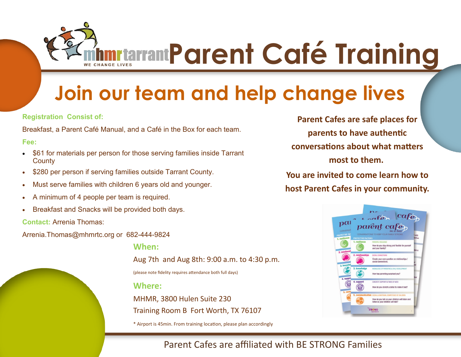**ADDET TRAINING APPEAR TRAINING PARAMETER CONTROLLING STATE STATE OF TRAINING PARAMETER AT 2013** 

## **Join our team and help change lives**

**Registration Consist of:** 

Breakfast, a Parent Café Manual, and a Café in the Box for each team.

**Fee:** 

- \$61 for materials per person for those serving families inside Tarrant **County**
- \$280 per person if serving families outside Tarrant County.
- Must serve families with children 6 years old and younger.
- A minimum of 4 people per team is required.
- Breakfast and Snacks will be provided both days.

**Contact:** Arrenia Thomas:

Arrenia.Thomas@mhmrtc.org or 682-444-9824

**When:** 

Aug 7th and Aug 8th: 9:00 a.m. to 4:30 p.m.

(please note fidelity requires attendance both full days)

**Where:**

MHMR, 3800 Hulen Suite 230 Training Room B Fort Worth, TX 76107

\* Airport is 45min. From training location, please plan accordingly

**Parent Cafes are safe places for parents to have authentic conversations about what matters most to them.**

**You are invited to come learn how to host Parent Cafes in your community.**



## Parent Cafes are affiliated with BE STRONG Families